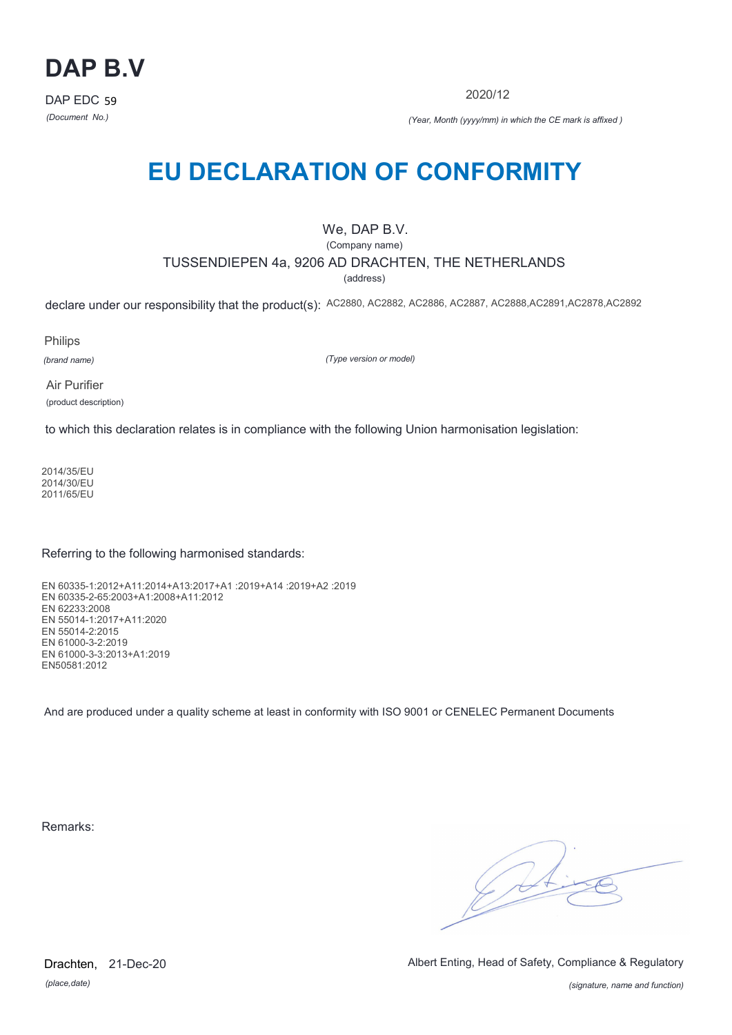

2020/12

*(Document No.) (Year, Month (yyyy/mm) in which the CE mark is affixed )*

# **EU DECLARATION OF CONFORMITY**

### We, DAP B.V.

(Company name)

### TUSSENDIEPEN 4a, 9206 AD DRACHTEN, THE NETHERLANDS

(address)

declare under our responsibility that the product(s): AC2880, AC2882, AC2886, AC2887, AC2888,AC2891,AC2878,AC2892

Philips

*(brand name)*

*(Type version or model)*

Air Purifier (product description)

to which this declaration relates is in compliance with the following Union harmonisation legislation:

2014/35/EU 2014/30/EU 2011/65/EU

Referring to the following harmonised standards:

EN 60335-1:2012+A11:2014+A13:2017+A1 :2019+A14 :2019+A2 :2019 EN 60335-2-65:2003+A1:2008+A11:2012 EN 62233:2008 EN 55014-1:2017+A11:2020 EN 55014-2:2015 EN 61000-3-2:2019 EN 61000-3-3:2013+A1:2019 EN50581:2012

And are produced under a quality scheme at least in conformity with ISO 9001 or CENELEC Permanent Documents

Remarks:

 $\sqrt{11}$ 

*(place,date)* Drachten, 21-Dec-20 Albert Enting, Head of Safety, Compliance & Regulatory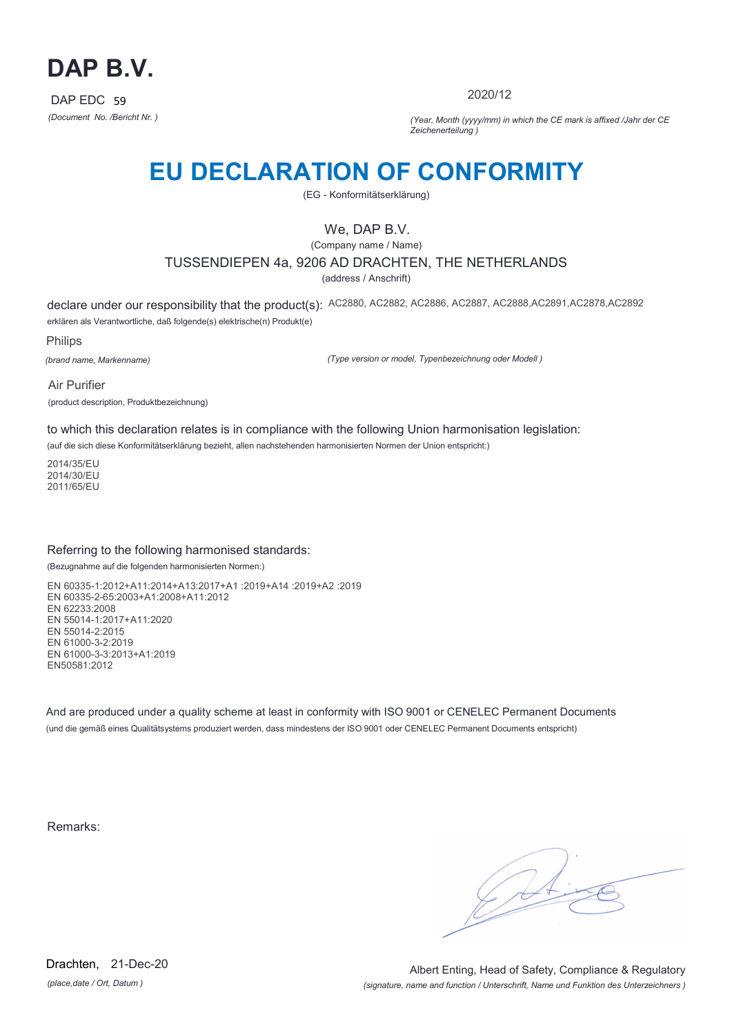

2020/12

*(Document No. /Bericht Nr. ) (Year, Month (yyyy/mm) in which the CE mark is affixed /Jahr der CE Zeichenerteilung )*

# **EU DECLARATION OF CONFORMITY**

(EG - Konformitätserklärung)

## We, DAP B.V.

(Company name / Name)

## TUSSENDIEPEN 4a, 9206 AD DRACHTEN, THE NETHERLANDS

(address / Anschrift)

declare under our responsibility that the product(s): AC2880, AC2882, AC2886, AC2887, AC2888,AC2891,AC2878,AC2892 erklären als Verantwortliche, daß folgende(s) elektrische(n) Produkt(e)

Philips

*(brand name, Markenname)*

*(Type version or model, Typenbezeichnung oder Modell )*

Air Purifier (product description, Produktbezeichnung)

to which this declaration relates is in compliance with the following Union harmonisation legislation:

(auf die sich diese Konformitätserklärung bezieht, allen nachstehenden harmonisierten Normen der Union entspricht:)

2014/35/EU 2014/30/EU 2011/65/EU

#### Referring to the following harmonised standards:

(Bezugnahme auf die folgenden harmonisierten Normen:)

EN 60335-1:2012+A11:2014+A13:2017+A1 :2019+A14 :2019+A2 :2019 EN 60335-2-65:2003+A1:2008+A11:2012 EN 62233:2008 EN 55014-1:2017+A11:2020 EN 55014-2:2015 EN 61000-3-2:2019 EN 61000-3-3:2013+A1:2019 EN50581:2012

And are produced under a quality scheme at least in conformity with ISO 9001 or CENELEC Permanent Documents (und die gemäß eines Qualitätsystems produziert werden, dass mindestens der ISO 9001 oder CENELEC Permanent Documents entspricht)

Remarks:

*(place,date / Ort, Datum )* Drachten, 21-Dec-20

*(signature, name and function / Unterschrift, Name und Funktion des Unterzeichners )* Albert Enting, Head of Safety, Compliance & Regulatory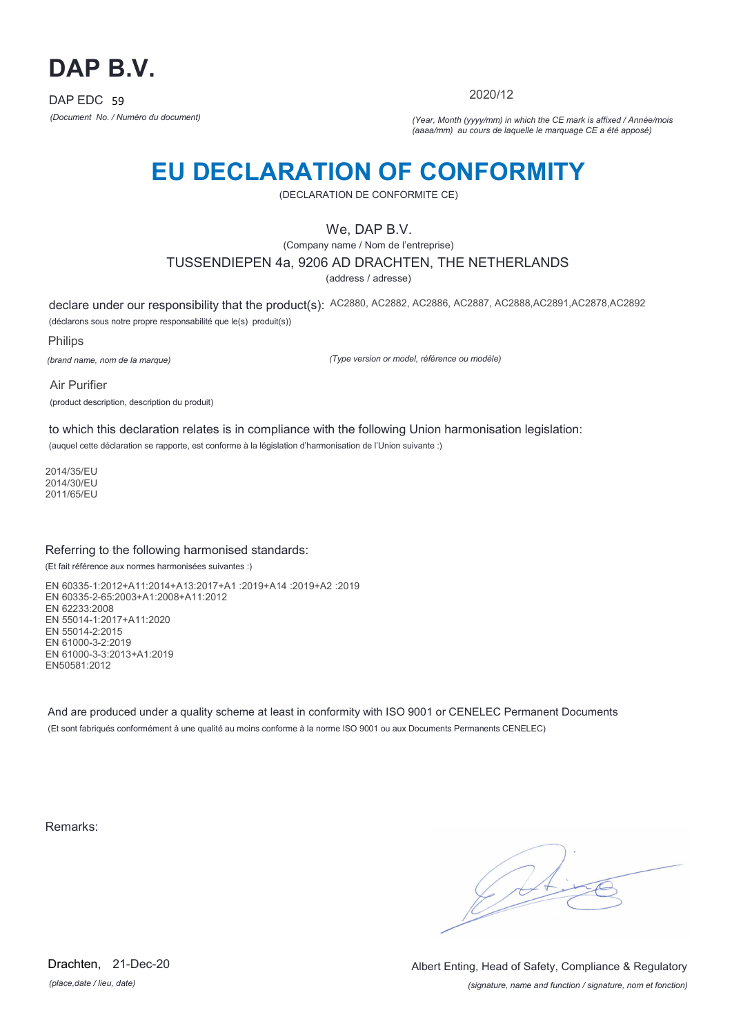

2020/12

*(Document No. / Numéro du document) (Year, Month (yyyy/mm) in which the CE mark is affixed / Année/mois (aaaa/mm) au cours de laquelle le marquage CE a été apposé)*

# **EU DECLARATION OF CONFORMITY**

(DECLARATION DE CONFORMITE CE)

## We, DAP B.V.

(Company name / Nom de l'entreprise)

### TUSSENDIEPEN 4a, 9206 AD DRACHTEN, THE NETHERLANDS

(address / adresse)

declare under our responsibility that the product(s): AC2880, AC2882, AC2886, AC2887, AC2888,AC2891,AC2878,AC2892 (déclarons sous notre propre responsabilité que le(s) produit(s))

Philips

*(brand name, nom de la marque)*

*(Type version or model, référence ou modèle)*

Air Purifier (product description, description du produit)

to which this declaration relates is in compliance with the following Union harmonisation legislation: (auquel cette déclaration se rapporte, est conforme à la législation d'harmonisation de l'Union suivante :)

2014/35/EU 2014/30/EU 2011/65/EU

### Referring to the following harmonised standards:

(Et fait référence aux normes harmonisées suivantes :)

EN 60335-1:2012+A11:2014+A13:2017+A1 :2019+A14 :2019+A2 :2019 EN 60335-2-65:2003+A1:2008+A11:2012 EN 62233:2008 EN 55014-1:2017+A11:2020 EN 55014-2:2015 EN 61000-3-2:2019 EN 61000-3-3:2013+A1:2019 EN50581:2012

And are produced under a quality scheme at least in conformity with ISO 9001 or CENELEC Permanent Documents (Et sont fabriqués conformément à une qualité au moins conforme à la norme ISO 9001 ou aux Documents Permanents CENELEC)

Remarks:

*(place,date / lieu, date)* Drachten, 21-Dec-20

*(signature, name and function / signature, nom et fonction)* Albert Enting, Head of Safety, Compliance & Regulatory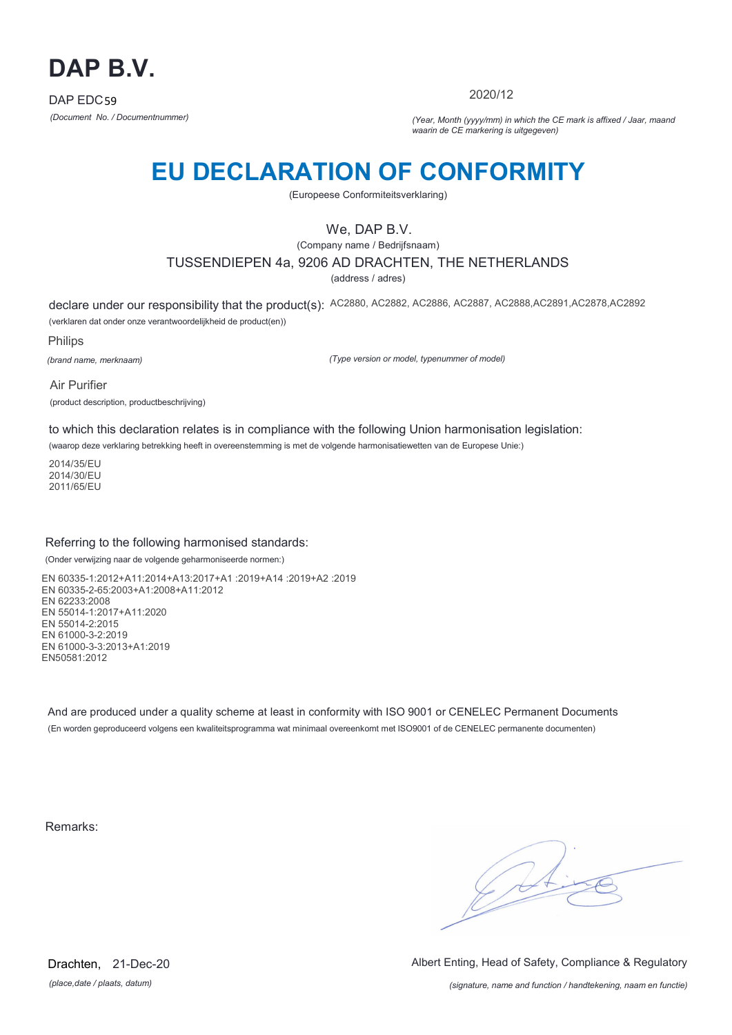

2020/12

*(Document No. / Documentnummer) (Year, Month (yyyy/mm) in which the CE mark is affixed / Jaar, maand waarin de CE markering is uitgegeven)*

# **EU DECLARATION OF CONFORMITY**

(Europeese Conformiteitsverklaring)

## We, DAP B.V.

(Company name / Bedrijfsnaam)

TUSSENDIEPEN 4a, 9206 AD DRACHTEN, THE NETHERLANDS

(address / adres)

declare under our responsibility that the product(s): AC2880, AC2882, AC2886, AC2887, AC2888,AC2891,AC2878,AC2892 (verklaren dat onder onze verantwoordelijkheid de product(en))

Philips

*(brand name, merknaam)*

*(Type version or model, typenummer of model)*

Air Purifier (product description, productbeschrijving)

to which this declaration relates is in compliance with the following Union harmonisation legislation:

(waarop deze verklaring betrekking heeft in overeenstemming is met de volgende harmonisatiewetten van de Europese Unie:)

2014/35/EU 2014/30/EU 2011/65/EU

### Referring to the following harmonised standards:

(Onder verwijzing naar de volgende geharmoniseerde normen:)

EN 60335-1:2012+A11:2014+A13:2017+A1 :2019+A14 :2019+A2 :2019 EN 60335-2-65:2003+A1:2008+A11:2012 EN 62233:2008 EN 55014-1:2017+A11:2020 EN 55014-2:2015 EN 61000-3-2:2019 EN 61000-3-3:2013+A1:2019 EN50581:2012

And are produced under a quality scheme at least in conformity with ISO 9001 or CENELEC Permanent Documents (En worden geproduceerd volgens een kwaliteitsprogramma wat minimaal overeenkomt met ISO9001 of de CENELEC permanente documenten)

Remarks:

 $\sqrt{14}$ 

*(place,date / plaats, datum)* Drachten, 21-Dec-20 Albert Enting, Head of Safety, Compliance & Regulatory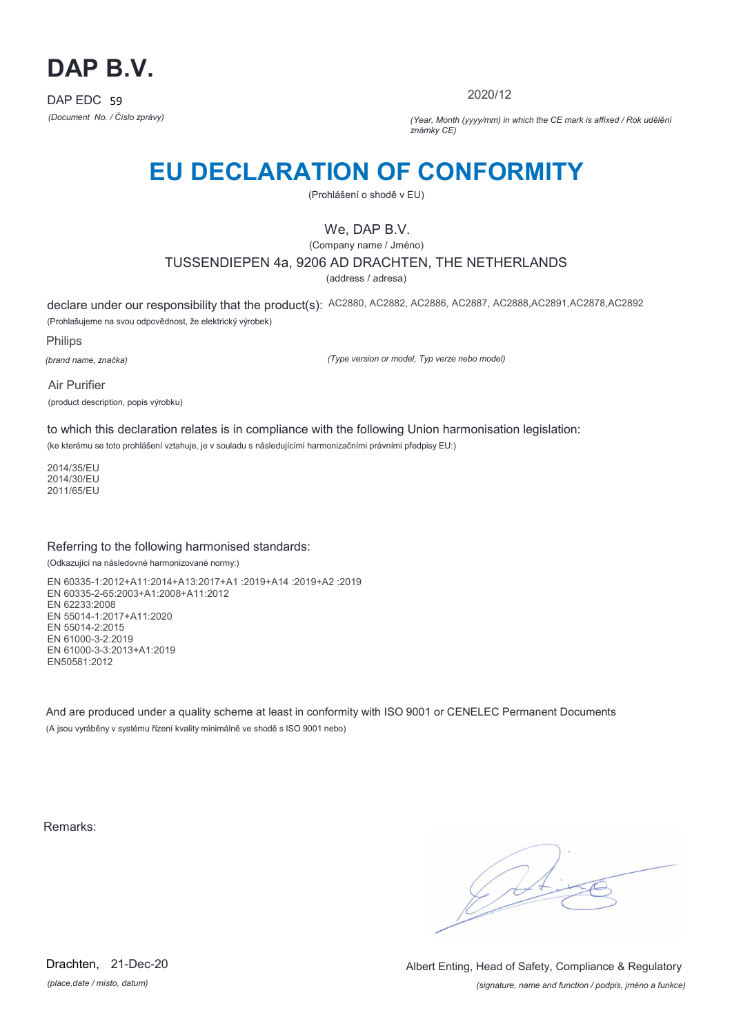

2020/12

*(Document No. / Číslo zprávy) (Year, Month (yyyy/mm) in which the CE mark is affixed / Rok udělění známky CE)*

# **EU DECLARATION OF CONFORMITY**

(Prohlášení o shodě v EU)

## We, DAP B.V.

(Company name / Jméno)

### TUSSENDIEPEN 4a, 9206 AD DRACHTEN, THE NETHERLANDS

(address / adresa)

declare under our responsibility that the product(s): AC2880, AC2882, AC2886, AC2887, AC2888,AC2891,AC2878,AC2892 (Prohlašujeme na svou odpovědnost, že elektrický výrobek)

Philips

*(brand name, značka)*

*(Type version or model, Typ verze nebo model)*

Air Purifier (product description, popis výrobku)

to which this declaration relates is in compliance with the following Union harmonisation legislation:

(ke kterému se toto prohlášení vztahuje, je v souladu s následujícími harmonizačními právními předpisy EU:)

2014/35/EU 2014/30/EU 2011/65/EU

### Referring to the following harmonised standards:

(Odkazující na následovné harmonizované normy:)

EN 60335-1:2012+A11:2014+A13:2017+A1 :2019+A14 :2019+A2 :2019 EN 60335-2-65:2003+A1:2008+A11:2012 EN 62233:2008 EN 55014-1:2017+A11:2020 EN 55014-2:2015 EN 61000-3-2:2019 EN 61000-3-3:2013+A1:2019 EN50581:2012

And are produced under a quality scheme at least in conformity with ISO 9001 or CENELEC Permanent Documents (A jsou vyráběny v systému řízení kvality minimálně ve shodě s ISO 9001 nebo)

Remarks:

 $\sqrt{11}$ 

*(place,date / místo, datum)* Drachten, 21-Dec-20

*(signature, name and function / podpis, jméno a funkce)* Albert Enting, Head of Safety, Compliance & Regulatory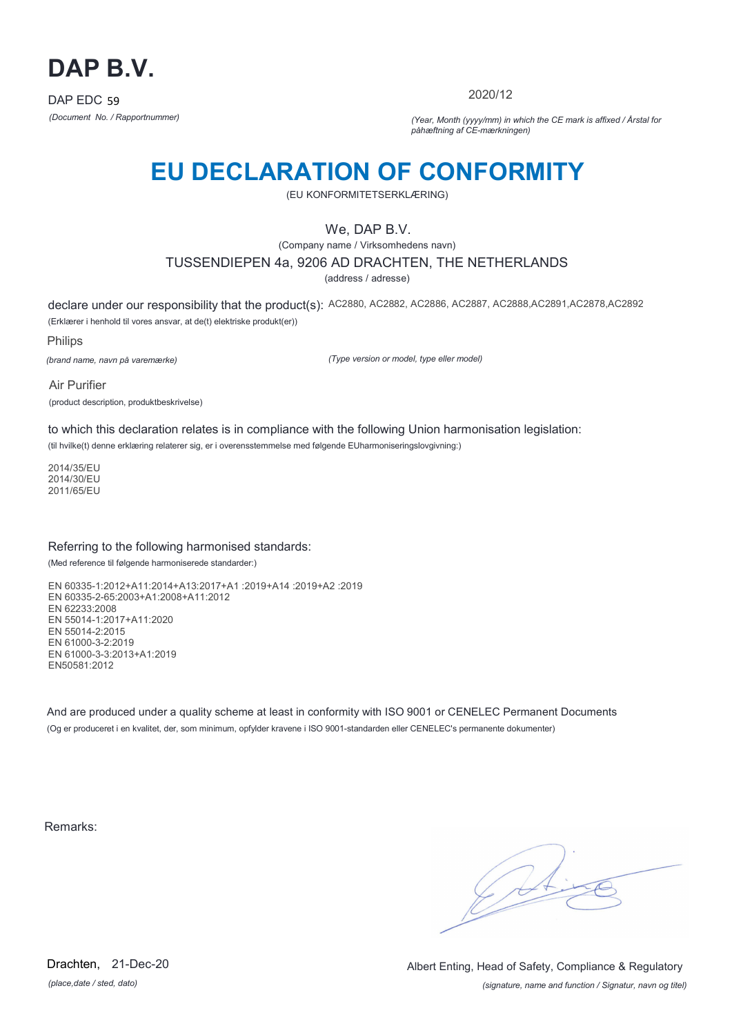

2020/12

*(Document No. / Rapportnummer) (Year, Month (yyyy/mm) in which the CE mark is affixed / Årstal for påhæftning af CE-mærkningen)*

# **EU DECLARATION OF CONFORMITY**

(EU KONFORMITETSERKLÆRING)

## We, DAP B.V.

(Company name / Virksomhedens navn)

### TUSSENDIEPEN 4a, 9206 AD DRACHTEN, THE NETHERLANDS

(address / adresse)

declare under our responsibility that the product(s): AC2880, AC2882, AC2886, AC2887, AC2888,AC2891,AC2878,AC2892 (Erklærer i henhold til vores ansvar, at de(t) elektriske produkt(er))

Philips

*(brand name, navn på varemærke)*

*(Type version or model, type eller model)*

Air Purifier (product description, produktbeskrivelse)

to which this declaration relates is in compliance with the following Union harmonisation legislation:

(til hvilke(t) denne erklæring relaterer sig, er i overensstemmelse med følgende EUharmoniseringslovgivning:)

2014/35/EU 2014/30/EU 2011/65/EU

### Referring to the following harmonised standards:

(Med reference til følgende harmoniserede standarder:)

EN 60335-1:2012+A11:2014+A13:2017+A1 :2019+A14 :2019+A2 :2019 EN 60335-2-65:2003+A1:2008+A11:2012 EN 62233:2008 EN 55014-1:2017+A11:2020 EN 55014-2:2015 EN 61000-3-2:2019 EN 61000-3-3:2013+A1:2019 EN50581:2012

And are produced under a quality scheme at least in conformity with ISO 9001 or CENELEC Permanent Documents (Og er produceret i en kvalitet, der, som minimum, opfylder kravene i ISO 9001-standarden eller CENELEC's permanente dokumenter)

Remarks:

 $\sqrt{4}$ 

*(place,date / sted, dato)* Drachten, 21-Dec-20

*(signature, name and function / Signatur, navn og titel)* Albert Enting, Head of Safety, Compliance & Regulatory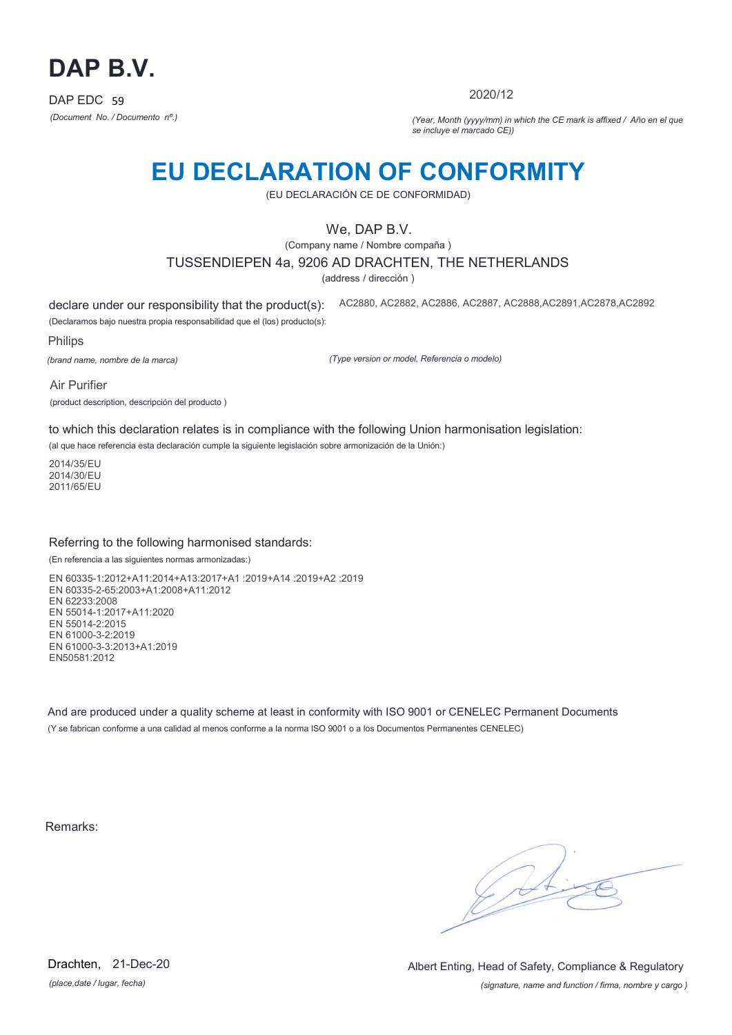

2020/12

*(Document No. / Documento nº.) (Year, Month (yyyy/mm) in which the CE mark is affixed / Año en el que se incluye el marcado CE))*

## **EU DECLARATION OF CONFORMITY**

(EU DECLARACIÓN CE DE CONFORMIDAD)

## We, DAP B.V.

(Company name / Nombre compaña )

TUSSENDIEPEN 4a, 9206 AD DRACHTEN, THE NETHERLANDS

(address / dirección )

declare under our responsibility that the product(s): (Declaramos bajo nuestra propia responsabilidad que el (los) producto(s): AC2880, AC2882, AC2886, AC2887, AC2888,AC2891,AC2878,AC2892

Philips

*(brand name, nombre de la marca)*

*(Type version or model, Referencia o modelo)*

Air Purifier (product description, descripción del producto )

to which this declaration relates is in compliance with the following Union harmonisation legislation:

(al que hace referencia esta declaración cumple la siguiente legislación sobre armonización de la Unión:)

2014/35/EU 2014/30/EU 2011/65/EU

### Referring to the following harmonised standards:

(En referencia a las siguientes normas armonizadas:)

EN 60335-1:2012+A11:2014+A13:2017+A1 :2019+A14 :2019+A2 :2019 EN 60335-2-65:2003+A1:2008+A11:2012 EN 62233:2008 EN 55014-1:2017+A11:2020 EN 55014-2:2015 EN 61000-3-2:2019 EN 61000-3-3:2013+A1:2019 EN50581:2012

And are produced under a quality scheme at least in conformity with ISO 9001 or CENELEC Permanent Documents (Y se fabrican conforme a una calidad al menos conforme a la norma ISO 9001 o a los Documentos Permanentes CENELEC)

Remarks:

*(place,date / lugar, fecha)* Drachten, 21-Dec-20

*(signature, name and function / firma, nombre y cargo )* Albert Enting, Head of Safety, Compliance & Regulatory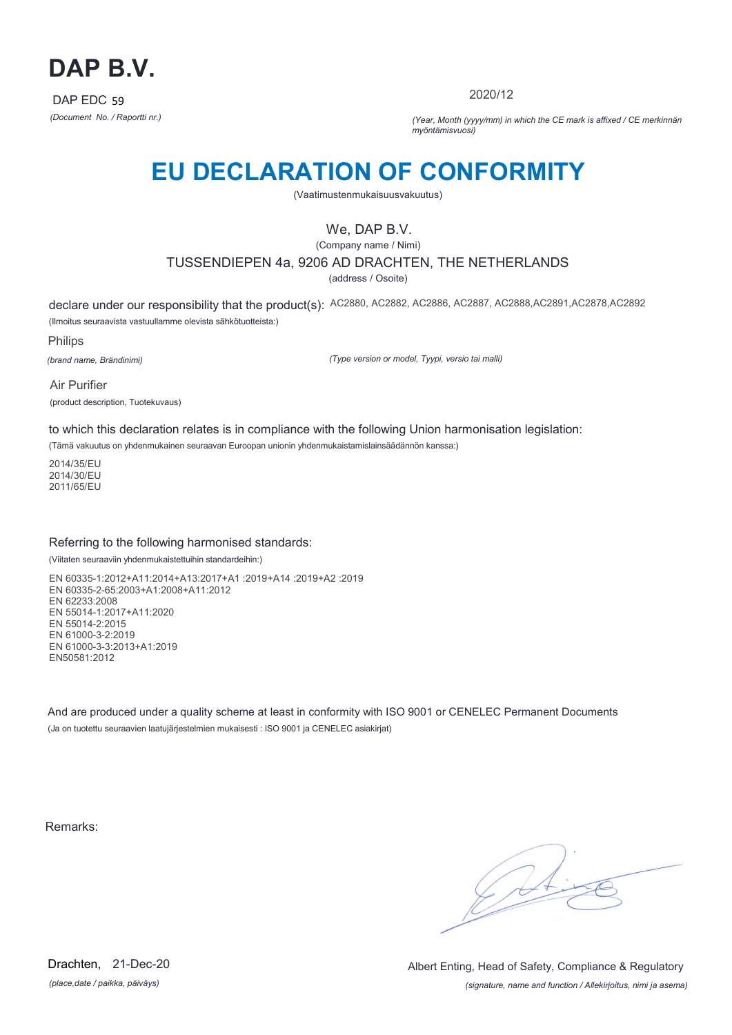

2020/12

*(Document No. / Raportti nr.) (Year, Month (yyyy/mm) in which the CE mark is affixed / CE merkinnän myöntämisvuosi)*

# **EU DECLARATION OF CONFORMITY**

(Vaatimustenmukaisuusvakuutus)

## We, DAP B.V.

(Company name / Nimi) TUSSENDIEPEN 4a, 9206 AD DRACHTEN, THE NETHERLANDS

(address / Osoite)

declare under our responsibility that the product(s): AC2880, AC2882, AC2886, AC2887, AC2888,AC2891,AC2878,AC2892 (Ilmoitus seuraavista vastuullamme olevista sähkötuotteista:)

Philips

*(brand name, Brändinimi)*

*(Type version or model, Tyypi, versio tai malli)*

Air Purifier (product description, Tuotekuvaus)

to which this declaration relates is in compliance with the following Union harmonisation legislation:

(Tämä vakuutus on yhdenmukainen seuraavan Euroopan unionin yhdenmukaistamislainsäädännön kanssa:)

2014/35/EU 2014/30/EU 2011/65/EU

### Referring to the following harmonised standards:

(Viitaten seuraaviin yhdenmukaistettuihin standardeihin:)

EN 60335-1:2012+A11:2014+A13:2017+A1 :2019+A14 :2019+A2 :2019 EN 60335-2-65:2003+A1:2008+A11:2012 EN 62233:2008 EN 55014-1:2017+A11:2020 EN 55014-2:2015 EN 61000-3-2:2019 EN 61000-3-3:2013+A1:2019 EN50581:2012

And are produced under a quality scheme at least in conformity with ISO 9001 or CENELEC Permanent Documents (Ja on tuotettu seuraavien laatujärjestelmien mukaisesti : ISO 9001 ja CENELEC asiakirjat)

Remarks:

 $\sqrt{11}$ 

*(place,date / paikka, päiväys)* Drachten, 21-Dec-20

*(signature, name and function / Allekirjoitus, nimi ja asema)* Albert Enting, Head of Safety, Compliance & Regulatory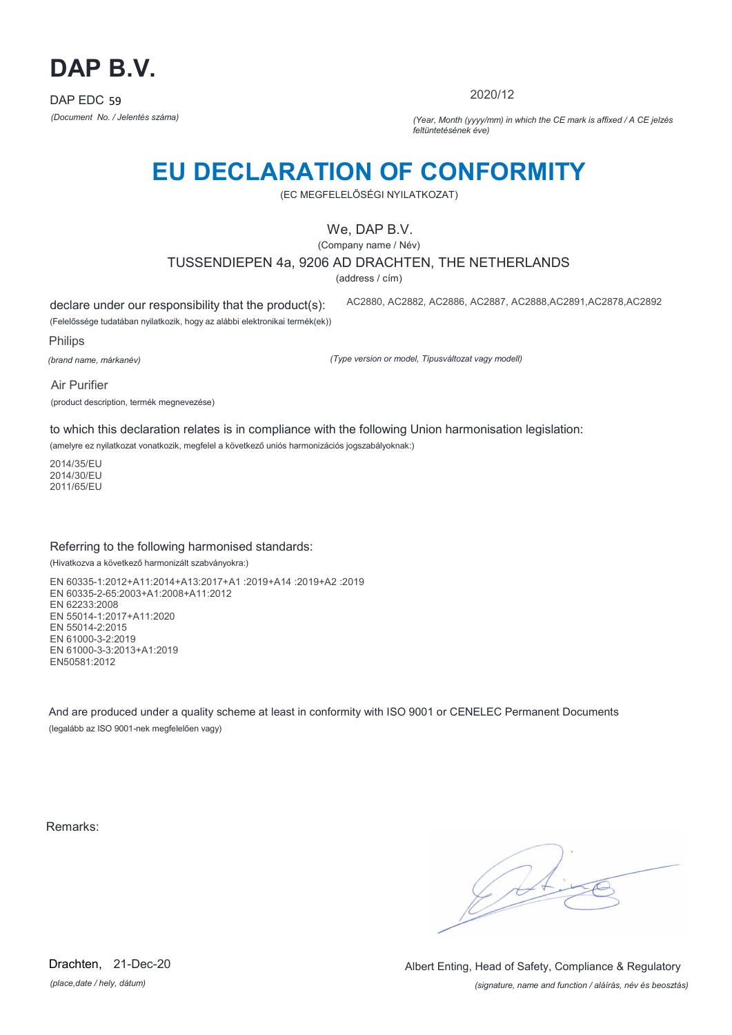

2020/12

*(Document No. / Jelentés száma) (Year, Month (yyyy/mm) in which the CE mark is affixed / A CE jelzés feltüntetésének éve)*

# **EU DECLARATION OF CONFORMITY**

(EC MEGFELELŐSÉGI NYILATKOZAT)

## We, DAP B.V.

(Company name / Név)

TUSSENDIEPEN 4a, 9206 AD DRACHTEN, THE NETHERLANDS

(address / cím)

declare under our responsibility that the product(s): (Felelőssége tudatában nyilatkozik, hogy az alábbi elektronikai termék(ek)) AC2880, AC2882, AC2886, AC2887, AC2888,AC2891,AC2878,AC2892

Philips

*(brand name, márkanév)*

*(Type version or model, Típusváltozat vagy modell)*

Air Purifier (product description, termék megnevezése)

to which this declaration relates is in compliance with the following Union harmonisation legislation:

(amelyre ez nyilatkozat vonatkozik, megfelel a következő uniós harmonizációs jogszabályoknak:)

2014/35/EU 2014/30/EU 2011/65/EU

### Referring to the following harmonised standards:

(Hivatkozva a következő harmonizált szabványokra:)

EN 60335-1:2012+A11:2014+A13:2017+A1 :2019+A14 :2019+A2 :2019 EN 60335-2-65:2003+A1:2008+A11:2012 EN 62233:2008 EN 55014-1:2017+A11:2020 EN 55014-2:2015 EN 61000-3-2:2019 EN 61000-3-3:2013+A1:2019 EN50581:2012

And are produced under a quality scheme at least in conformity with ISO 9001 or CENELEC Permanent Documents (legalább az ISO 9001-nek megfelelően vagy)

Remarks:

C. St

*(place,date / hely, dátum)* Drachten, 21-Dec-20

*(signature, name and function / aláírás, név és beosztás)* Albert Enting, Head of Safety, Compliance & Regulatory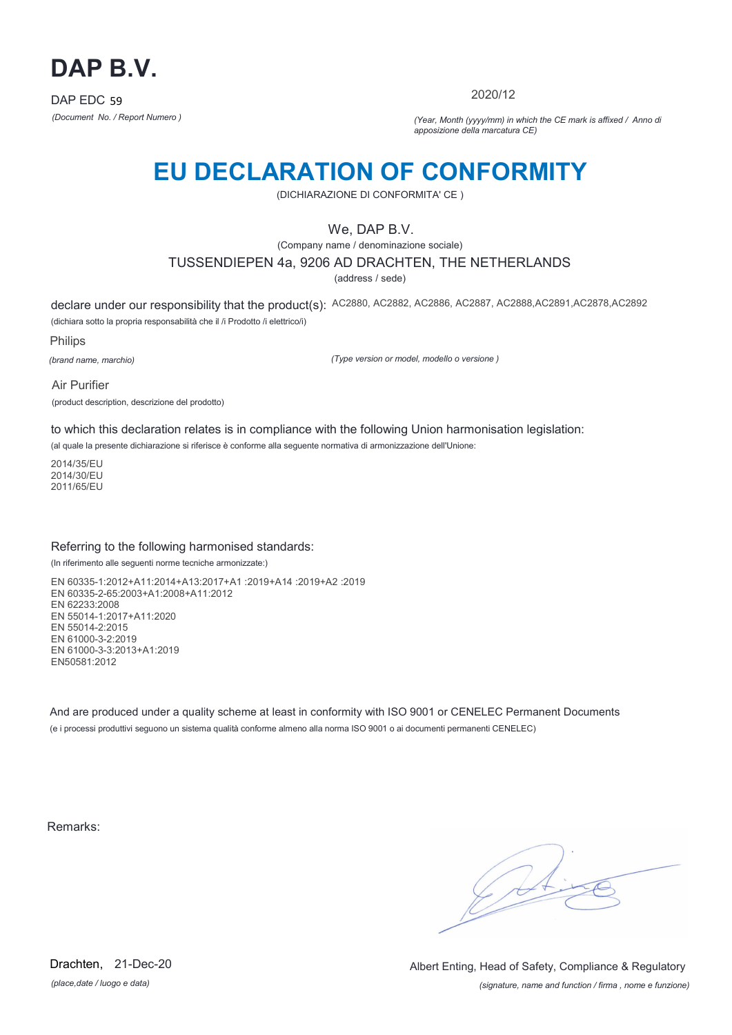

2020/12

*(Document No. / Report Numero ) (Year, Month (yyyy/mm) in which the CE mark is affixed / Anno di apposizione della marcatura CE)*

## **EU DECLARATION OF CONFORMITY**

(DICHIARAZIONE DI CONFORMITA' CE )

## We, DAP B.V.

(Company name / denominazione sociale)

### TUSSENDIEPEN 4a, 9206 AD DRACHTEN, THE NETHERLANDS

(address / sede)

declare under our responsibility that the product(s): AC2880, AC2882, AC2886, AC2887, AC2888,AC2891,AC2878,AC2892 (dichiara sotto la propria responsabilità che il /i Prodotto /i elettrico/i)

Philips

*(brand name, marchio)*

*(Type version or model, modello o versione )*

Air Purifier (product description, descrizione del prodotto)

to which this declaration relates is in compliance with the following Union harmonisation legislation:

(al quale la presente dichiarazione si riferisce è conforme alla seguente normativa di armonizzazione dell'Unione:

2014/35/EU 2014/30/EU 2011/65/EU

#### Referring to the following harmonised standards:

(In riferimento alle seguenti norme tecniche armonizzate:)

EN 60335-1:2012+A11:2014+A13:2017+A1 :2019+A14 :2019+A2 :2019 EN 60335-2-65:2003+A1:2008+A11:2012 EN 62233:2008 EN 55014-1:2017+A11:2020 EN 55014-2:2015 EN 61000-3-2:2019 EN 61000-3-3:2013+A1:2019 EN50581:2012

And are produced under a quality scheme at least in conformity with ISO 9001 or CENELEC Permanent Documents (e i processi produttivi seguono un sistema qualità conforme almeno alla norma ISO 9001 o ai documenti permanenti CENELEC)

Remarks:

 $\sqrt{11}$ 

*(place,date / luogo e data)* Drachten, 21-Dec-20

*(signature, name and function / firma , nome e funzione)* Albert Enting, Head of Safety, Compliance & Regulatory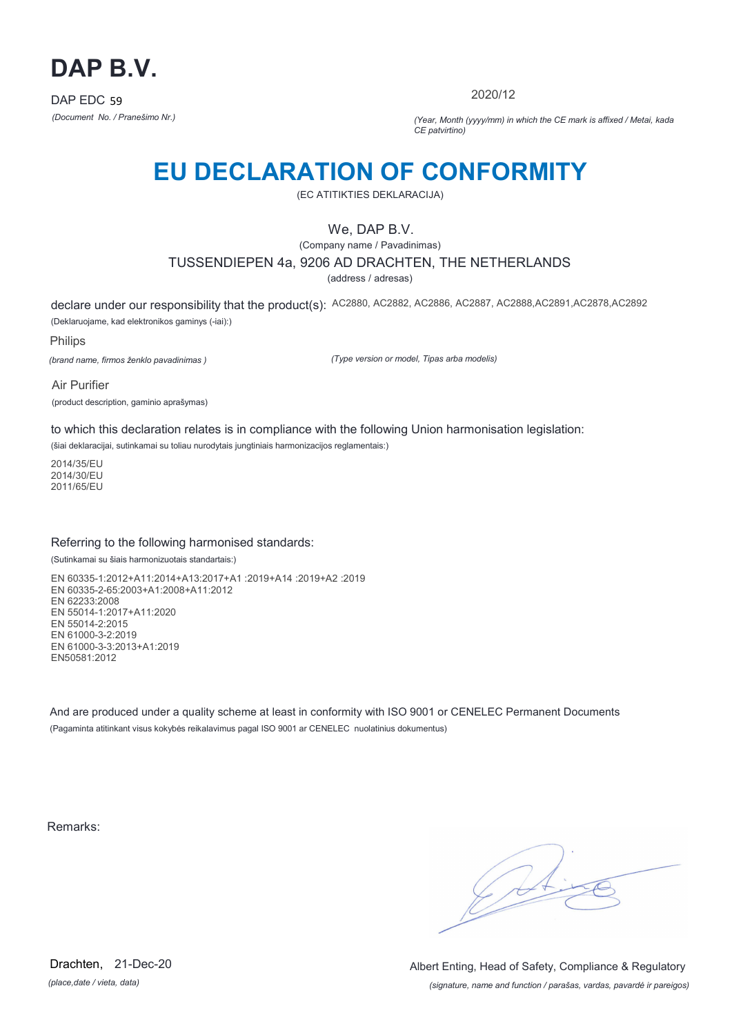

2020/12

*(Document No. / Pranešimo Nr.) (Year, Month (yyyy/mm) in which the CE mark is affixed / Metai, kada CE patvirtino)*

## **EU DECLARATION OF CONFORMITY**

(EC ATITIKTIES DEKLARACIJA)

## We, DAP B.V.

(Company name / Pavadinimas)

#### TUSSENDIEPEN 4a, 9206 AD DRACHTEN, THE NETHERLANDS

(address / adresas)

declare under our responsibility that the product(s): AC2880, AC2882, AC2886, AC2887, AC2888,AC2891,AC2878,AC2892 (Deklaruojame, kad elektronikos gaminys (-iai):)

Philips

*(brand name, firmos ženklo pavadinimas )*

*(Type version or model, Tipas arba modelis)*

Air Purifier (product description, gaminio aprašymas)

to which this declaration relates is in compliance with the following Union harmonisation legislation:

(šiai deklaracijai, sutinkamai su toliau nurodytais jungtiniais harmonizacijos reglamentais:)

2014/35/EU 2014/30/EU 2011/65/EU

### Referring to the following harmonised standards:

(Sutinkamai su šiais harmonizuotais standartais:)

EN 60335-1:2012+A11:2014+A13:2017+A1 :2019+A14 :2019+A2 :2019 EN 60335-2-65:2003+A1:2008+A11:2012 EN 62233:2008 EN 55014-1:2017+A11:2020 EN 55014-2:2015 EN 61000-3-2:2019 EN 61000-3-3:2013+A1:2019 EN50581:2012

And are produced under a quality scheme at least in conformity with ISO 9001 or CENELEC Permanent Documents (Pagaminta atitinkant visus kokybės reikalavimus pagal ISO 9001 ar CENELEC nuolatinius dokumentus)

Remarks:

G At

*(place,date / vieta, data)* Drachten, 21-Dec-20

*(signature, name and function / parašas, vardas, pavardė ir pareigos)* Albert Enting, Head of Safety, Compliance & Regulatory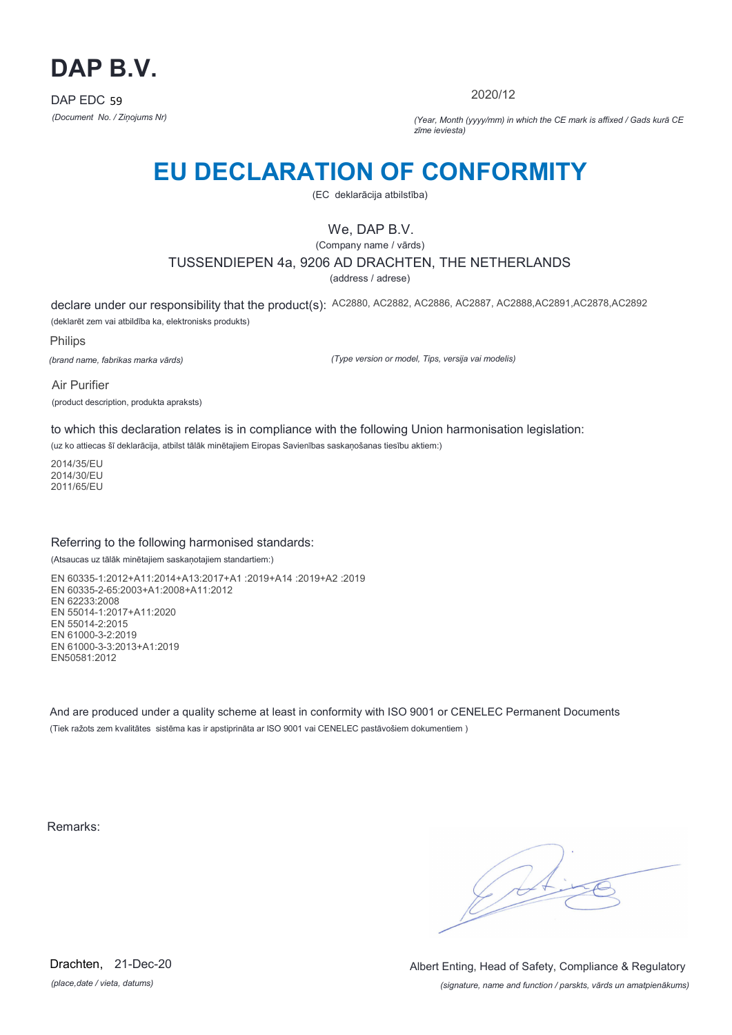

2020/12

*(Document No. / Ziņojums Nr) (Year, Month (yyyy/mm) in which the CE mark is affixed / Gads kurā CE zīme ieviesta)*

## **EU DECLARATION OF CONFORMITY**

(EC deklarācija atbilstība)

## We, DAP B.V.

(Company name / vārds)

#### TUSSENDIEPEN 4a, 9206 AD DRACHTEN, THE NETHERLANDS

(address / adrese)

declare under our responsibility that the product(s): AC2880, AC2882, AC2886, AC2887, AC2888,AC2891,AC2878,AC2892 (deklarēt zem vai atbildība ka, elektronisks produkts)

Philips

*(brand name, fabrikas marka vārds)*

*(Type version or model, Tips, versija vai modelis)*

Air Purifier (product description, produkta apraksts)

to which this declaration relates is in compliance with the following Union harmonisation legislation:

(uz ko attiecas šī deklarācija, atbilst tālāk minētajiem Eiropas Savienības saskaņošanas tiesību aktiem:)

2014/35/EU 2014/30/EU 2011/65/EU

#### Referring to the following harmonised standards:

(Atsaucas uz tālāk minētajiem saskaņotajiem standartiem:)

EN 60335-1:2012+A11:2014+A13:2017+A1 :2019+A14 :2019+A2 :2019 EN 60335-2-65:2003+A1:2008+A11:2012 EN 62233:2008 EN 55014-1:2017+A11:2020 EN 55014-2:2015 EN 61000-3-2:2019 EN 61000-3-3:2013+A1:2019 EN50581:2012

And are produced under a quality scheme at least in conformity with ISO 9001 or CENELEC Permanent Documents (Tiek ražots zem kvalitātes sistēma kas ir apstiprināta ar ISO 9001 vai CENELEC pastāvošiem dokumentiem )

Remarks:

G St

*(place,date / vieta, datums)* Drachten, 21-Dec-20

*(signature, name and function / parskts, vārds un amatpienākums)* Albert Enting, Head of Safety, Compliance & Regulatory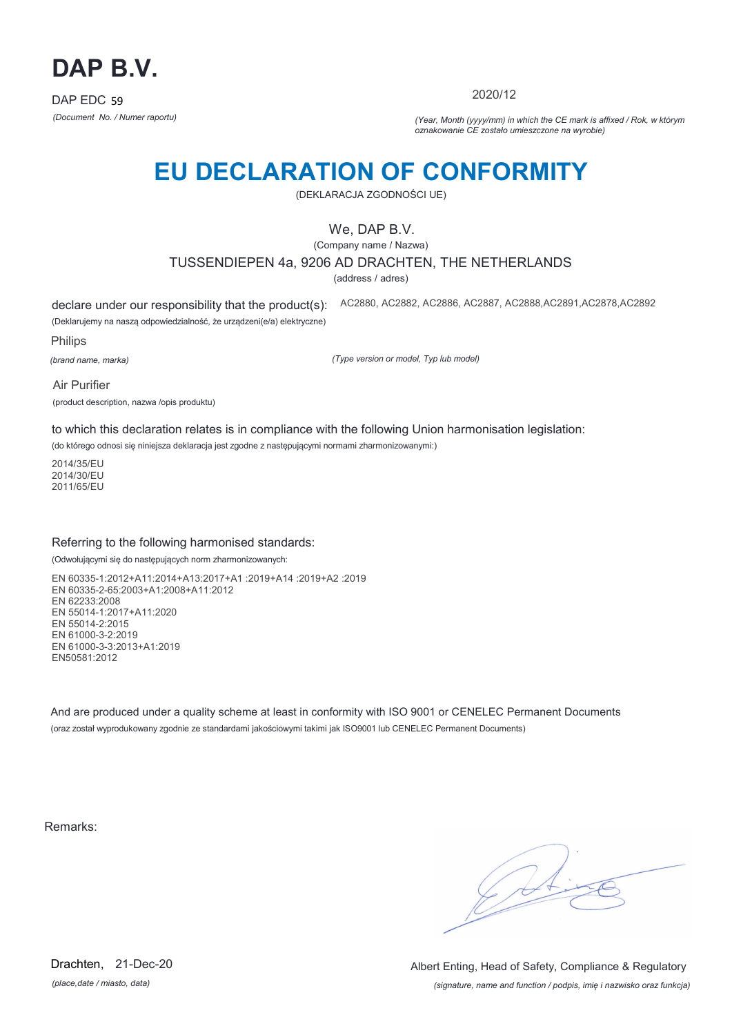

2020/12

*(Document No. / Numer raportu) (Year, Month (yyyy/mm) in which the CE mark is affixed / Rok, w którym oznakowanie CE zostało umieszczone na wyrobie)*

# **EU DECLARATION OF CONFORMITY**

(DEKLARACJA ZGODNOŚCI UE)

## We, DAP B.V.

(Company name / Nazwa)

TUSSENDIEPEN 4a, 9206 AD DRACHTEN, THE NETHERLANDS

(address / adres)

declare under our responsibility that the product(s):

(Deklarujemy na naszą odpowiedzialność, że urządzeni(e/a) elektryczne) AC2880, AC2882, AC2886, AC2887, AC2888,AC2891,AC2878,AC2892

Philips

*(brand name, marka)*

*(Type version or model, Typ lub model)*

Air Purifier

(product description, nazwa /opis produktu)

to which this declaration relates is in compliance with the following Union harmonisation legislation:

(do którego odnosi się niniejsza deklaracja jest zgodne z następującymi normami zharmonizowanymi:)

2014/35/EU 2014/30/EU 2011/65/EU

#### Referring to the following harmonised standards:

(Odwołującymi się do następujących norm zharmonizowanych:

EN 60335-1:2012+A11:2014+A13:2017+A1 :2019+A14 :2019+A2 :2019 EN 60335-2-65:2003+A1:2008+A11:2012 EN 62233:2008 EN 55014-1:2017+A11:2020 EN 55014-2:2015 EN 61000-3-2:2019 EN 61000-3-3:2013+A1:2019 EN50581:2012

And are produced under a quality scheme at least in conformity with ISO 9001 or CENELEC Permanent Documents (oraz został wyprodukowany zgodnie ze standardami jakościowymi takimi jak ISO9001 lub CENELEC Permanent Documents)

Remarks:

 $\sqrt{11}$ 

*(place,date / miasto, data)* Drachten, 21-Dec-20

*(signature, name and function / podpis, imię i nazwisko oraz funkcja)* Albert Enting, Head of Safety, Compliance & Regulatory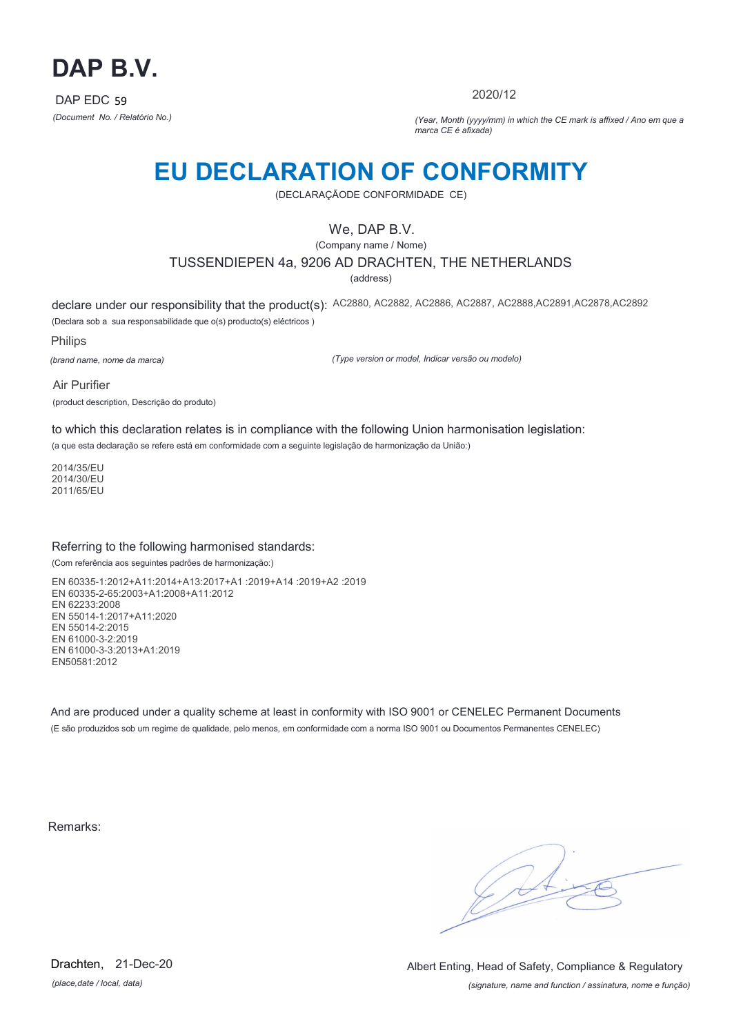

2020/12

*(Document No. / Relatório No.) (Year, Month (yyyy/mm) in which the CE mark is affixed / Ano em que a marca CE é afixada)*

## **EU DECLARATION OF CONFORMITY**

(DECLARAÇÃODE CONFORMIDADE CE)

## We, DAP B.V.

(Company name / Nome)

#### TUSSENDIEPEN 4a, 9206 AD DRACHTEN, THE NETHERLANDS

(address)

declare under our responsibility that the product(s): AC2880, AC2882, AC2886, AC2887, AC2888,AC2891,AC2878,AC2892 (Declara sob a sua responsabilidade que o(s) producto(s) eléctricos )

Philips

*(brand name, nome da marca)*

*(Type version or model, Indicar versão ou modelo)*

Air Purifier (product description, Descrição do produto)

to which this declaration relates is in compliance with the following Union harmonisation legislation:

(a que esta declaração se refere está em conformidade com a seguinte legislação de harmonização da União:)

2014/35/EU 2014/30/EU 2011/65/EU

#### Referring to the following harmonised standards:

(Com referência aos seguintes padrões de harmonização:)

EN 60335-1:2012+A11:2014+A13:2017+A1 :2019+A14 :2019+A2 :2019 EN 60335-2-65:2003+A1:2008+A11:2012 EN 62233:2008 EN 55014-1:2017+A11:2020 EN 55014-2:2015 EN 61000-3-2:2019 EN 61000-3-3:2013+A1:2019 EN50581:2012

And are produced under a quality scheme at least in conformity with ISO 9001 or CENELEC Permanent Documents (E são produzidos sob um regime de qualidade, pelo menos, em conformidade com a norma ISO 9001 ou Documentos Permanentes CENELEC)

Remarks:

 $\sqrt{4}$ 

*(place,date / local, data)* Drachten, 21-Dec-20

*(signature, name and function / assinatura, nome e função)* Albert Enting, Head of Safety, Compliance & Regulatory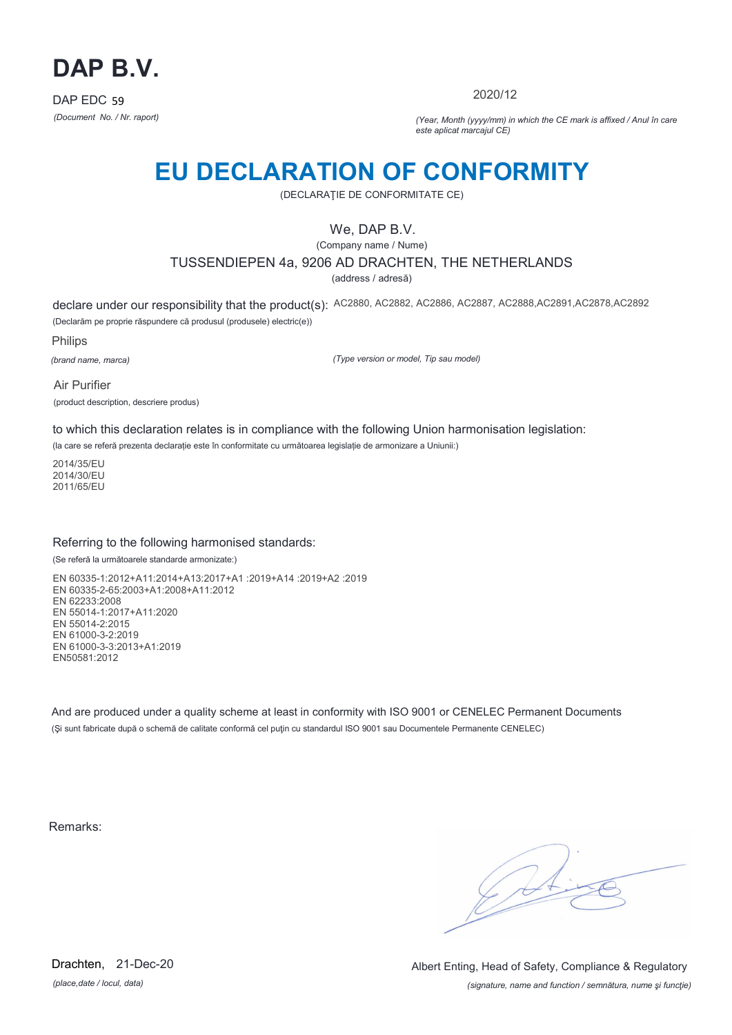

2020/12

*(Document No. / Nr. raport) (Year, Month (yyyy/mm) in which the CE mark is affixed / Anul în care este aplicat marcajul CE)*

## **EU DECLARATION OF CONFORMITY**

(DECLARAŢIE DE CONFORMITATE CE)

## We, DAP B.V.

(Company name / Nume)

TUSSENDIEPEN 4a, 9206 AD DRACHTEN, THE NETHERLANDS

(address / adresă)

declare under our responsibility that the product(s): AC2880, AC2882, AC2886, AC2887, AC2888,AC2891,AC2878,AC2892 (Declarăm pe proprie răspundere că produsul (produsele) electric(e))

Philips

*(brand name, marca)*

*(Type version or model, Tip sau model)*

Air Purifier (product description, descriere produs)

to which this declaration relates is in compliance with the following Union harmonisation legislation:

(la care se referă prezenta declarație este în conformitate cu următoarea legislație de armonizare a Uniunii:)

2014/35/EU 2014/30/EU 2011/65/EU

### Referring to the following harmonised standards:

(Se referă la următoarele standarde armonizate:)

EN 60335-1:2012+A11:2014+A13:2017+A1 :2019+A14 :2019+A2 :2019 EN 60335-2-65:2003+A1:2008+A11:2012 EN 62233:2008 EN 55014-1:2017+A11:2020 EN 55014-2:2015 EN 61000-3-2:2019 EN 61000-3-3:2013+A1:2019 EN50581:2012

And are produced under a quality scheme at least in conformity with ISO 9001 or CENELEC Permanent Documents (Şi sunt fabricate după o schemă de calitate conformă cel puţin cu standardul ISO 9001 sau Documentele Permanente CENELEC)

Remarks:

 $\sqrt{2}$ 

*(place,date / locul, data)* Drachten, 21-Dec-20

*(signature, name and function / semnătura, nume şi funcţie)* Albert Enting, Head of Safety, Compliance & Regulatory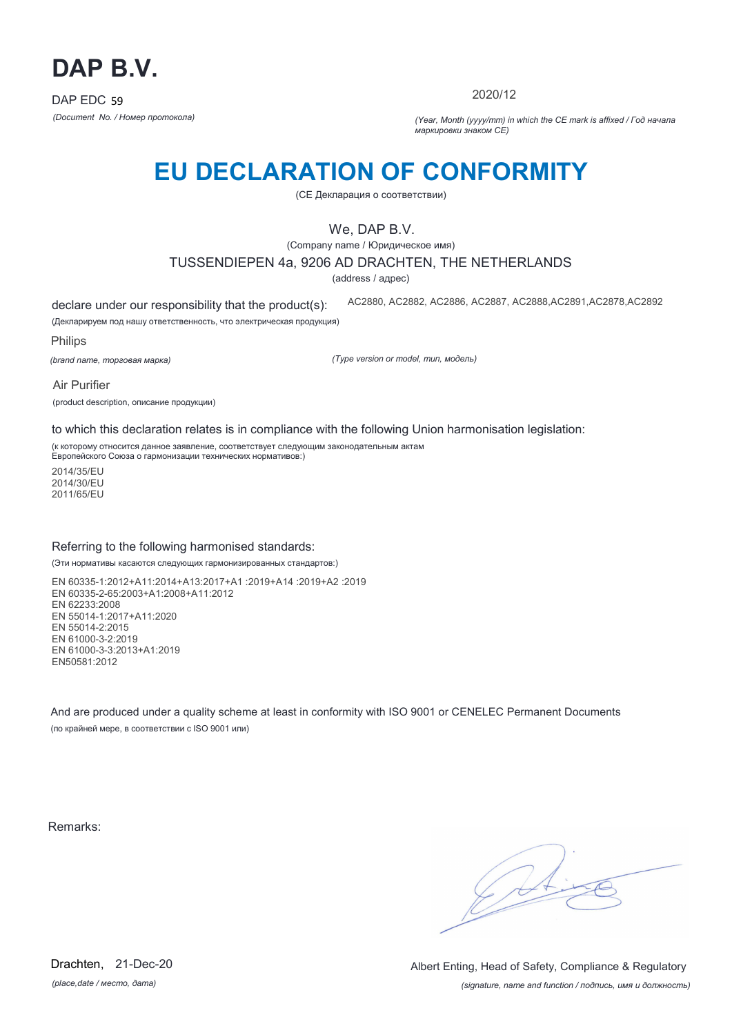

2020/12

*(Document No. / Номер протокола) (Year, Month (yyyy/mm) in which the CE mark is affixed / Год начала маркировки знаком CE)*

# **EU DECLARATION OF CONFORMITY**

(CE Декларация о соответствии)

## We, DAP B.V.

(Company name / Юридическое имя)

### TUSSENDIEPEN 4a, 9206 AD DRACHTEN, THE NETHERLANDS

(address / адрес)

declare under our responsibility that the product(s): AC2880, AC2882, AC2886, AC2887, AC2888,AC2891,AC2878,AC2892

(Декларируем под нашу ответственность, что электрическая продукция)

Philips

*(brand name, торговая марка)*

*(Type version or model, тип, модель)*

Air Purifier (product description, описание продукции)

to which this declaration relates is in compliance with the following Union harmonisation legislation:

(к которому относится данное заявление, соответствует следующим законодательным актам Европейского Союза о гармонизации технических нормативов:)

2014/35/EU 2014/30/EU 2011/65/EU

#### Referring to the following harmonised standards:

(Эти нормативы касаются следующих гармонизированных стандартов:)

EN 60335-1:2012+A11:2014+A13:2017+A1 :2019+A14 :2019+A2 :2019 EN 60335-2-65:2003+A1:2008+A11:2012 EN 62233:2008 EN 55014-1:2017+A11:2020 EN 55014-2:2015 EN 61000-3-2:2019 EN 61000-3-3:2013+A1:2019 EN50581:2012

And are produced under a quality scheme at least in conformity with ISO 9001 or CENELEC Permanent Documents (по крайней мере, в соответствии с ISO 9001 или)

Remarks:

(Sol

*(place,date / место, дата)* Drachten, 21-Dec-20

*(signature, name and function / подпись, имя и должность)* Albert Enting, Head of Safety, Compliance & Regulatory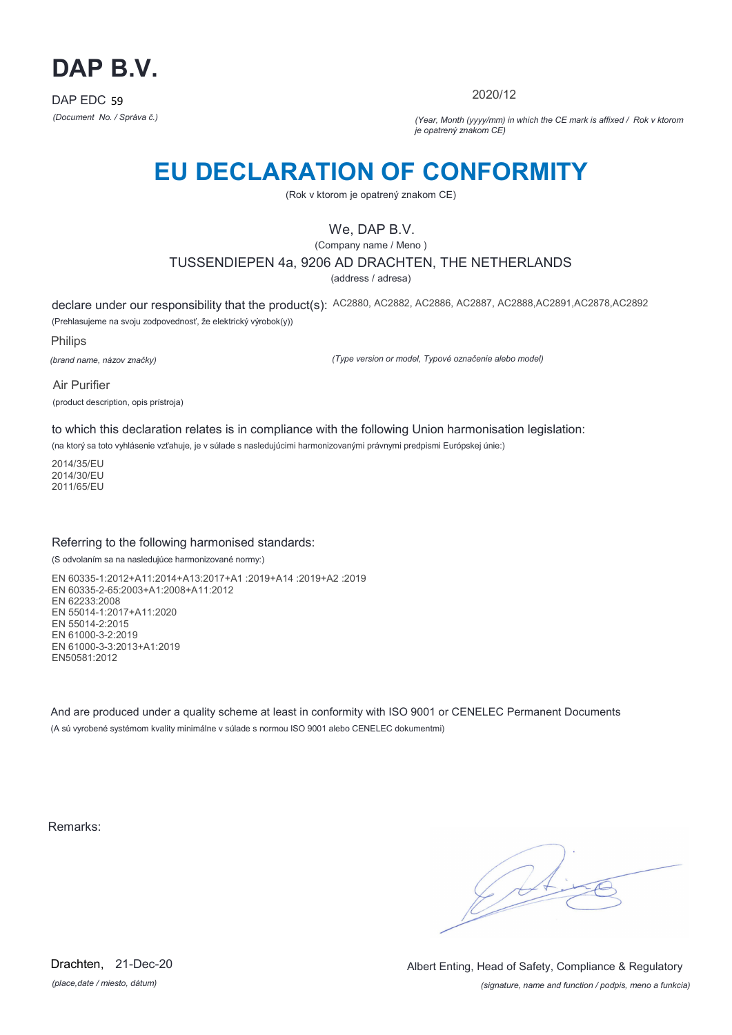

2020/12

*(Document No. / Správa č.) (Year, Month (yyyy/mm) in which the CE mark is affixed / Rok v ktorom je opatrený znakom CE)*

## **EU DECLARATION OF CONFORMITY**

(Rok v ktorom je opatrený znakom CE)

## We, DAP B.V.

(Company name / Meno )

### TUSSENDIEPEN 4a, 9206 AD DRACHTEN, THE NETHERLANDS

(address / adresa)

declare under our responsibility that the product(s): AC2880, AC2882, AC2886, AC2887, AC2888,AC2891,AC2878,AC2892 (Prehlasujeme na svoju zodpovednosť, že elektrický výrobok(y))

Philips

*(brand name, názov značky)*

*(Type version or model, Typové označenie alebo model)*

Air Purifier (product description, opis prístroja)

to which this declaration relates is in compliance with the following Union harmonisation legislation:

(na ktorý sa toto vyhlásenie vzťahuje, je v súlade s nasledujúcimi harmonizovanými právnymi predpismi Európskej únie:)

2014/35/EU 2014/30/EU 2011/65/EU

#### Referring to the following harmonised standards:

(S odvolaním sa na nasledujúce harmonizované normy:)

EN 60335-1:2012+A11:2014+A13:2017+A1 :2019+A14 :2019+A2 :2019 EN 60335-2-65:2003+A1:2008+A11:2012 EN 62233:2008 EN 55014-1:2017+A11:2020 EN 55014-2:2015 EN 61000-3-2:2019 EN 61000-3-3:2013+A1:2019 EN50581:2012

And are produced under a quality scheme at least in conformity with ISO 9001 or CENELEC Permanent Documents (A sú vyrobené systémom kvality minimálne v súlade s normou ISO 9001 alebo CENELEC dokumentmi)

Remarks:

 $\sqrt{11}$ 

*(place,date / miesto, dátum)* Drachten, 21-Dec-20

*(signature, name and function / podpis, meno a funkcia)* Albert Enting, Head of Safety, Compliance & Regulatory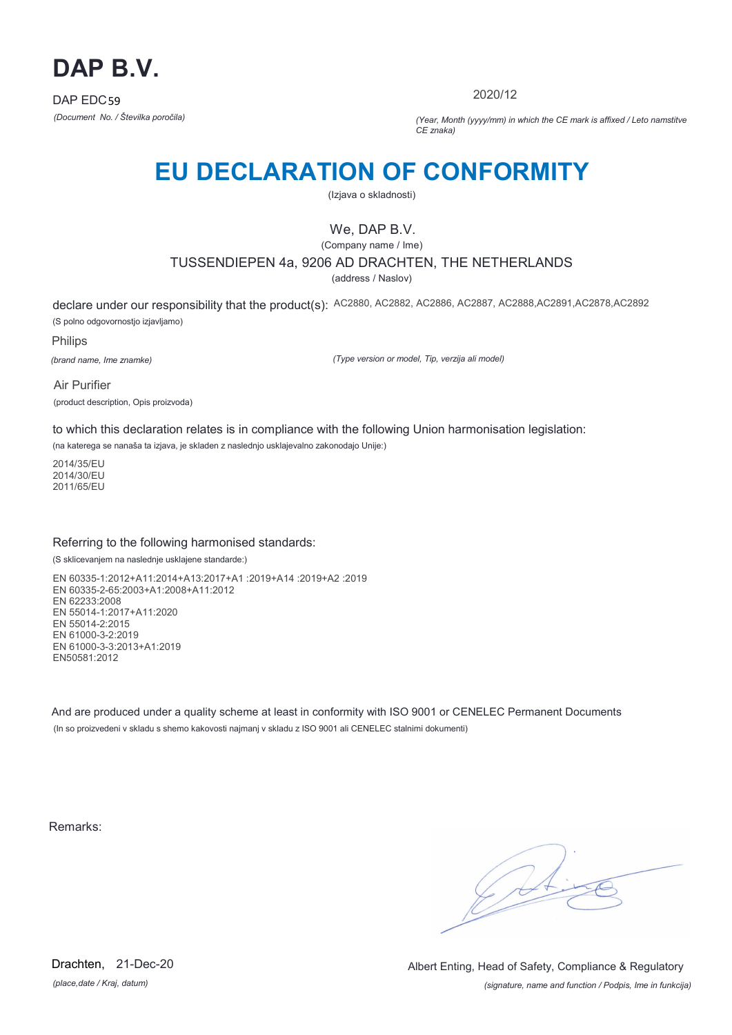

2020/12

*(Document No. / Številka poročila) (Year, Month (yyyy/mm) in which the CE mark is affixed / Leto namstitve CE znaka)*

# **EU DECLARATION OF CONFORMITY**

(Izjava o skladnosti)

## We, DAP B.V.

(Company name / Ime)

TUSSENDIEPEN 4a, 9206 AD DRACHTEN, THE NETHERLANDS

(address / Naslov)

declare under our responsibility that the product(s): AC2880, AC2882, AC2886, AC2887, AC2888,AC2891,AC2878,AC2892 (S polno odgovornostjo izjavljamo)

Philips

*(brand name, Ime znamke)*

*(Type version or model, Tip, verzija ali model)*

Air Purifier (product description, Opis proizvoda)

to which this declaration relates is in compliance with the following Union harmonisation legislation:

(na katerega se nanaša ta izjava, je skladen z naslednjo usklajevalno zakonodajo Unije:)

2014/35/EU 2014/30/EU 2011/65/EU

### Referring to the following harmonised standards:

(S sklicevanjem na naslednje usklajene standarde:)

EN 60335-1:2012+A11:2014+A13:2017+A1 :2019+A14 :2019+A2 :2019 EN 60335-2-65:2003+A1:2008+A11:2012 EN 62233:2008 EN 55014-1:2017+A11:2020 EN 55014-2:2015 EN 61000-3-2:2019 EN 61000-3-3:2013+A1:2019 EN50581:2012

And are produced under a quality scheme at least in conformity with ISO 9001 or CENELEC Permanent Documents (In so proizvedeni v skladu s shemo kakovosti najmanj v skladu z ISO 9001 ali CENELEC stalnimi dokumenti)

Remarks:

 $\sqrt{11}$ 

*(place,date / Kraj, datum)* Drachten, 21-Dec-20

*(signature, name and function / Podpis, Ime in funkcija)* Albert Enting, Head of Safety, Compliance & Regulatory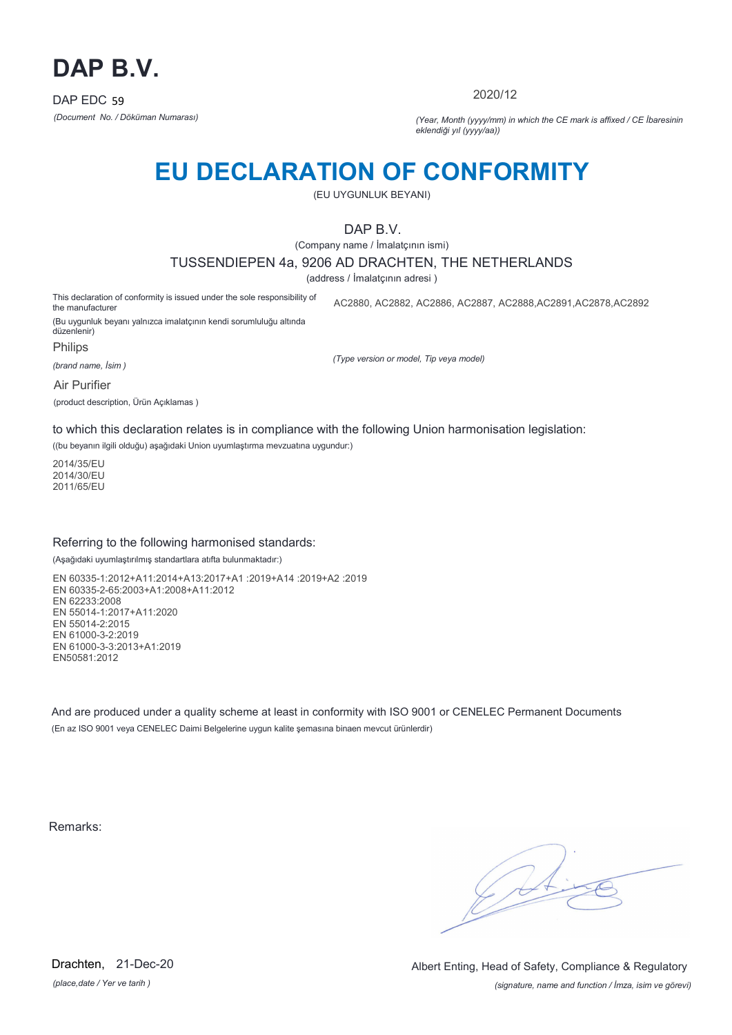

2020/12

*(Document No. / Döküman Numarası) (Year, Month (yyyy/mm) in which the CE mark is affixed / CE İbaresinin eklendiği yıl (yyyy/aa))*

## **EU DECLARATION OF CONFORMITY**

(EU UYGUNLUK BEYANI)

DAP B.V.

(Company name / İmalatçının ismi)

TUSSENDIEPEN 4a, 9206 AD DRACHTEN, THE NETHERLANDS

(address / İmalatçının adresi )

This declaration of conformity is issued under the sole responsibility of the manufacturer AC2880, AC2882, AC2886, AC2887, AC2888,AC2891,AC2878,AC2892

(Bu uygunluk beyanı yalnızca imalatçının kendi sorumluluğu altında düzenlenir)

Philips

*(brand name, İsim )*

*(Type version or model, Tip veya model)*

Air Purifier

(product description, Ürün Açıklamas )

to which this declaration relates is in compliance with the following Union harmonisation legislation:

((bu beyanın ilgili olduğu) aşağıdaki Union uyumlaştırma mevzuatına uygundur:)

2014/35/EU 2014/30/EU 2011/65/EU

#### Referring to the following harmonised standards:

(Aşağıdaki uyumlaştırılmış standartlara atıfta bulunmaktadır:)

EN 60335-1:2012+A11:2014+A13:2017+A1 :2019+A14 :2019+A2 :2019 EN 60335-2-65:2003+A1:2008+A11:2012 EN 62233:2008 EN 55014-1:2017+A11:2020 EN 55014-2:2015 EN 61000-3-2:2019 EN 61000-3-3:2013+A1:2019 EN50581:2012

And are produced under a quality scheme at least in conformity with ISO 9001 or CENELEC Permanent Documents (En az ISO 9001 veya CENELEC Daimi Belgelerine uygun kalite şemasına binaen mevcut ürünlerdir)

Remarks:

 $\sqrt{4}$ 

*(place,date / Yer ve tarih )* Drachten, 21-Dec-20

*(signature, name and function / İmza, isim ve görevi)* Albert Enting, Head of Safety, Compliance & Regulatory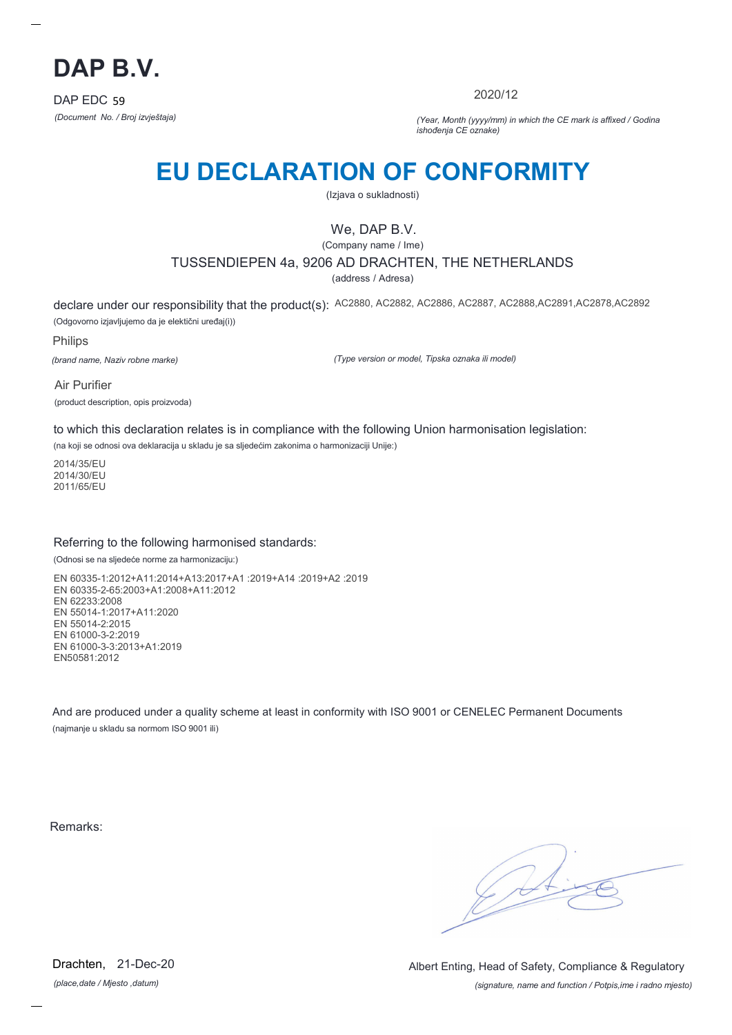

2020/12

*(Document No. / Broj izvještaja) (Year, Month (yyyy/mm) in which the CE mark is affixed / Godina ishođenja CE oznake)*

# **EU DECLARATION OF CONFORMITY**

(Izjava o sukladnosti)

## We, DAP B.V.

(Company name / Ime)

TUSSENDIEPEN 4a, 9206 AD DRACHTEN, THE NETHERLANDS

(address / Adresa)

declare under our responsibility that the product(s): AC2880, AC2882, AC2886, AC2887, AC2888,AC2891,AC2878,AC2892 (Odgovorno izjavljujemo da je elektični uređaj(i))

Philips

*(brand name, Naziv robne marke)*

*(Type version or model, Tipska oznaka ili model)*

Air Purifier (product description, opis proizvoda)

to which this declaration relates is in compliance with the following Union harmonisation legislation:

(na koji se odnosi ova deklaracija u skladu je sa sljedećim zakonima o harmonizaciji Unije:)

2014/35/EU 2014/30/EU 2011/65/EU

#### Referring to the following harmonised standards:

(Odnosi se na sljedeće norme za harmonizaciju:)

EN 60335-1:2012+A11:2014+A13:2017+A1 :2019+A14 :2019+A2 :2019 EN 60335-2-65:2003+A1:2008+A11:2012 EN 62233:2008 EN 55014-1:2017+A11:2020 EN 55014-2:2015 EN 61000-3-2:2019 EN 61000-3-3:2013+A1:2019 EN50581:2012

And are produced under a quality scheme at least in conformity with ISO 9001 or CENELEC Permanent Documents (najmanje u skladu sa normom ISO 9001 ili)

Remarks:

 $\sqrt{4}$ 

*(place,date / Mjesto ,datum)* Drachten, 21-Dec-20

*(signature, name and function / Potpis,ime i radno mjesto)* Albert Enting, Head of Safety, Compliance & Regulatory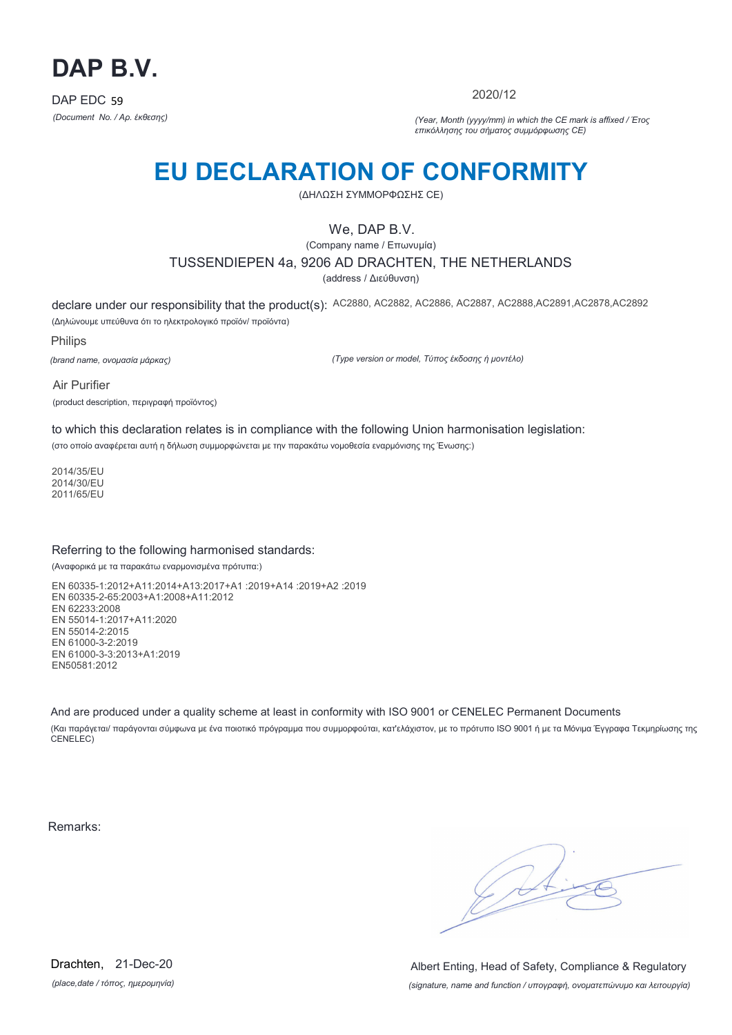

2020/12

*(Document No. / Αρ. έκθεσης) (Year, Month (yyyy/mm) in which the CE mark is affixed / Έτος επικόλλησης του σήματος συμμόρφωσης CE)*

# **EU DECLARATION OF CONFORMITY**

(ΔΗΛΩΣΗ ΣΥΜΜΟΡΦΩΣΗΣ CE)

## We, DAP B.V.

(Company name / Επωνυμία) TUSSENDIEPEN 4a, 9206 AD DRACHTEN, THE NETHERLANDS

(address / Διεύθυνση)

declare under our responsibility that the product(s): AC2880, AC2882, AC2886, AC2887, AC2888,AC2891,AC2878,AC2892 (Δηλώνουμε υπεύθυνα ότι το ηλεκτρολογικό προϊόν/ προϊόντα)

Philips

*(brand name, ονομασία μάρκας)*

*(Type version or model, Τύπος έκδοσης ή μοντέλο)*

Air Purifier (product description, περιγραφή προϊόντος)

to which this declaration relates is in compliance with the following Union harmonisation legislation: (στο οποίο αναφέρεται αυτή η δήλωση συμμορφώνεται με την παρακάτω νομοθεσία εναρμόνισης της Ένωσης:)

2014/35/EU 2014/30/EU 2011/65/EU

### Referring to the following harmonised standards:

(Αναφορικά με τα παρακάτω εναρμονισμένα πρότυπα:)

EN 60335-1:2012+A11:2014+A13:2017+A1 :2019+A14 :2019+A2 :2019 EN 60335-2-65:2003+A1:2008+A11:2012 EN 62233:2008 EN 55014-1:2017+A11:2020 EN 55014-2:2015 EN 61000-3-2:2019 EN 61000-3-3:2013+A1:2019 EN50581:2012

And are produced under a quality scheme at least in conformity with ISO 9001 or CENELEC Permanent Documents (Και παράγεται/ παράγονται σύμφωνα με ένα ποιοτικό πρόγραμμα που συμμορφούται, κατ'ελάχιστον, με το πρότυπο ISO 9001 ή με τα Μόνιμα Έγγραφα Τεκμηρίωσης της CENELEC)

Remarks:

 $\sqrt{4}$ 

*(place,date / τόπος, ημερομηνία)* Drachten, 21-Dec-20

*(signature, name and function / υπογραφή, ονοματεπώνυμο και λειτουργία)* Albert Enting, Head of Safety, Compliance & Regulatory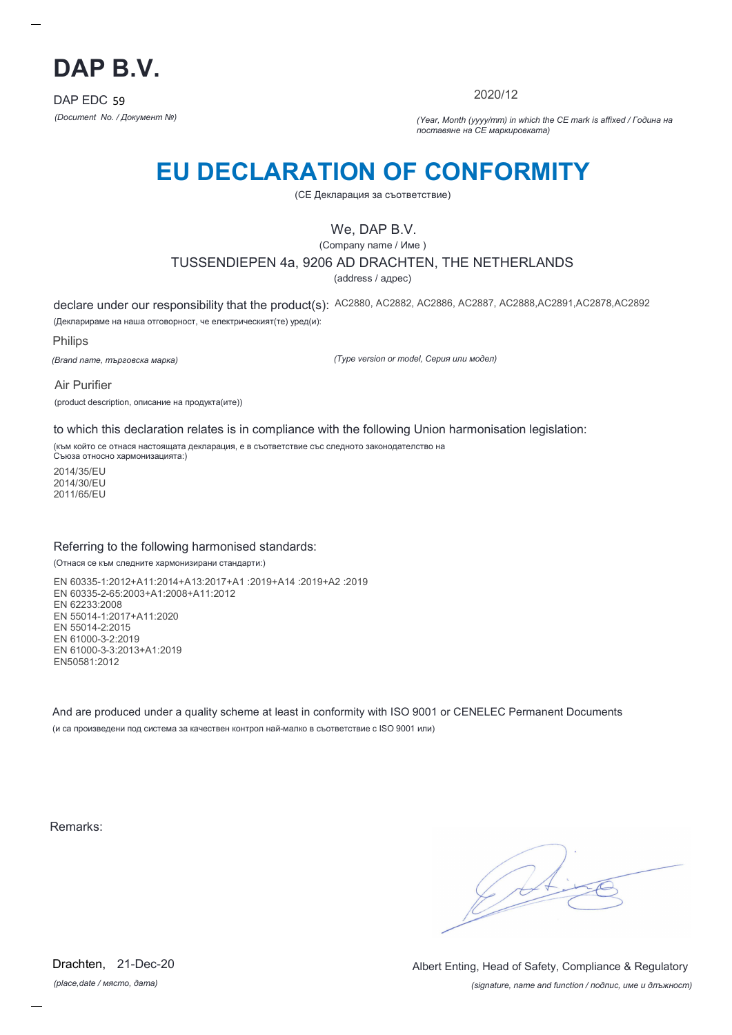

2020/12

*(Document No. / Документ №) (Year, Month (yyyy/mm) in which the CE mark is affixed / Година на поставяне на CE маркировката)*

# **EU DECLARATION OF CONFORMITY**

(CE Декларация за съответствие)

## We, DAP B.V.

(Company name / Име )

### TUSSENDIEPEN 4a, 9206 AD DRACHTEN, THE NETHERLANDS

(address / адрес)

declare under our responsibility that the product(s): AC2880, AC2882, AC2886, AC2887, AC2888,AC2891,AC2878,AC2892 (Декларираме на наша отговорност, че електрическият(те) уред(и):

Philips

*(Brand name, търговска марка)*

*(Type version or model, Серия или модел)*

Air Purifier (product description, описание на продукта(ите))

to which this declaration relates is in compliance with the following Union harmonisation legislation:

(към който се отнася настоящата декларация, е в съответствие със следното законодателство на Съюза относно хармонизацията:)

2014/35/EU 2014/30/EU 2011/65/EU

#### Referring to the following harmonised standards:

(Отнася се към следните хармонизирани стандарти:)

EN 60335-1:2012+A11:2014+A13:2017+A1 :2019+A14 :2019+A2 :2019 EN 60335-2-65:2003+A1:2008+A11:2012 EN 62233:2008 EN 55014-1:2017+A11:2020 EN 55014-2:2015 EN 61000-3-2:2019 EN 61000-3-3:2013+A1:2019 EN50581:2012

And are produced under a quality scheme at least in conformity with ISO 9001 or CENELEC Permanent Documents (и са произведени под система за качествен контрол най-малко в съответствие с ISO 9001 или)

Remarks:

*(place,date / място, дата)* Drachten, 21-Dec-20

*(signature, name and function / подпис, име и длъжност)* Albert Enting, Head of Safety, Compliance & Regulatory